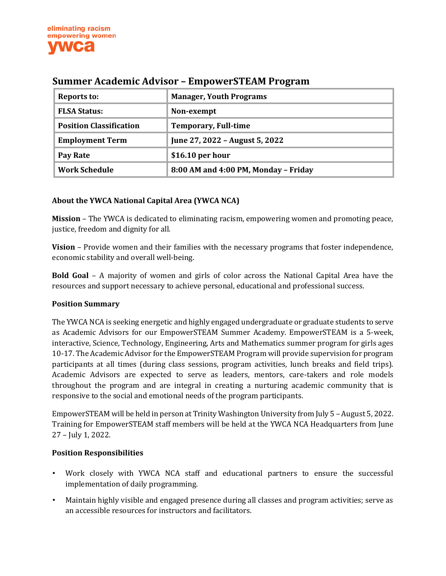

| Reports to:                    | <b>Manager, Youth Programs</b>       |
|--------------------------------|--------------------------------------|
| <b>FLSA Status:</b>            | Non-exempt                           |
| <b>Position Classification</b> | <b>Temporary, Full-time</b>          |
| <b>Employment Term</b>         | June 27, 2022 - August 5, 2022       |
| Pay Rate                       | $$16.10$ per hour                    |
| <b>Work Schedule</b>           | 8:00 AM and 4:00 PM, Monday - Friday |

# **Summer Academic Advisor – EmpowerSTEAM Program**

#### **About the YWCA National Capital Area (YWCA NCA)**

**Mission** – The YWCA is dedicated to eliminating racism, empowering women and promoting peace, justice, freedom and dignity for all.

**Vision** – Provide women and their families with the necessary programs that foster independence, economic stability and overall well-being.

**Bold Goal** – A majority of women and girls of color across the National Capital Area have the resources and support necessary to achieve personal, educational and professional success.

#### **Position Summary**

The YWCA NCA is seeking energetic and highly engaged undergraduate or graduate students to serve as Academic Advisors for our EmpowerSTEAM Summer Academy. EmpowerSTEAM is a 5-week, interactive, Science, Technology, Engineering, Arts and Mathematics summer program for girls ages 10-17. The Academic Advisor for the EmpowerSTEAM Program will provide supervision for program participants at all times (during class sessions, program activities, lunch breaks and field trips). Academic Advisors are expected to serve as leaders, mentors, care-takers and role models throughout the program and are integral in creating a nurturing academic community that is responsive to the social and emotional needs of the program participants.

EmpowerSTEAM will be held in person at Trinity Washington University from July 5 – August 5, 2022. Training for EmpowerSTEAM staff members will be held at the YWCA NCA Headquarters from June 27 – July 1, 2022.

#### **Position Responsibilities**

- Work closely with YWCA NCA staff and educational partners to ensure the successful implementation of daily programming.
- Maintain highly visible and engaged presence during all classes and program activities; serve as an accessible resources for instructors and facilitators.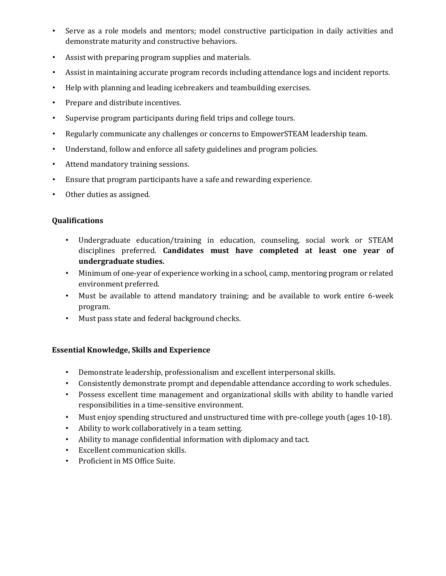- Serve as a role models and mentors; model constructive participation in daily activities and demonstrate maturity and constructive behaviors.
- Assist with preparing program supplies and materials.
- Assist in maintaining accurate program records including attendance logs and incident reports.
- Help with planning and leading icebreakers and teambuilding exercises.
- Prepare and distribute incentives.
- Supervise program participants during field trips and college tours.
- Regularly communicate any challenges or concerns to EmpowerSTEAM leadership team.
- Understand, follow and enforce all safety guidelines and program policies.
- Attend mandatory training sessions.
- Ensure that program participants have a safe and rewarding experience.
- Other duties as assigned.

### **Qualifications**

- Undergraduate education/training in education, counseling, social work or STEAM disciplines preferred. **Candidates must have completed at least one year of undergraduate studies.**
- Minimum of one-year of experience working in a school, camp, mentoring program or related environment preferred.
- Must be available to attend mandatory training; and be available to work entire 6-week program.
- Must pass state and federal background checks.

### **Essential Knowledge, Skills and Experience**

- Demonstrate leadership, professionalism and excellent interpersonal skills.
- Consistently demonstrate prompt and dependable attendance according to work schedules.
- Possess excellent time management and organizational skills with ability to handle varied responsibilities in a time-sensitive environment.
- Must enjoy spending structured and unstructured time with pre-college youth (ages 10-18).
- Ability to work collaboratively in a team setting.
- Ability to manage confidential information with diplomacy and tact.
- Excellent communication skills.
- Proficient in MS Office Suite.